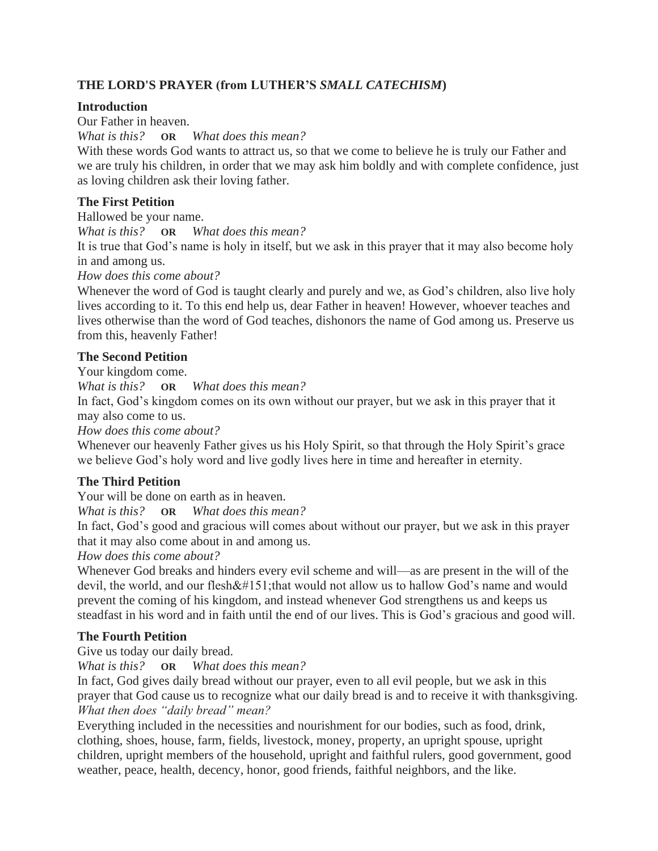# **THE LORD'S PRAYER (from LUTHER'S** *SMALL CATECHISM***)**

# **Introduction**

Our Father in heaven.

*What is this?* **OR** *What does this mean?*

With these words God wants to attract us, so that we come to believe he is truly our Father and we are truly his children, in order that we may ask him boldly and with complete confidence, just as loving children ask their loving father.

# **The First Petition**

Hallowed be your name.

*What is this?* **OR** *What does this mean?*

It is true that God's name is holy in itself, but we ask in this prayer that it may also become holy in and among us.

*How does this come about?*

Whenever the word of God is taught clearly and purely and we, as God's children, also live holy lives according to it. To this end help us, dear Father in heaven! However, whoever teaches and lives otherwise than the word of God teaches, dishonors the name of God among us. Preserve us from this, heavenly Father!

## **The Second Petition**

Your kingdom come.

*What is this?* **OR** *What does this mean?*

In fact, God's kingdom comes on its own without our prayer, but we ask in this prayer that it may also come to us.

*How does this come about?*

Whenever our heavenly Father gives us his Holy Spirit, so that through the Holy Spirit's grace we believe God's holy word and live godly lives here in time and hereafter in eternity.

# **The Third Petition**

Your will be done on earth as in heaven.

*What is this?* **OR** *What does this mean?*

In fact, God's good and gracious will comes about without our prayer, but we ask in this prayer that it may also come about in and among us.

*How does this come about?*

Whenever God breaks and hinders every evil scheme and will—as are present in the will of the devil, the world, and our flesh  $&\#151$ ; that would not allow us to hallow God's name and would prevent the coming of his kingdom, and instead whenever God strengthens us and keeps us steadfast in his word and in faith until the end of our lives. This is God's gracious and good will.

## **The Fourth Petition**

Give us today our daily bread.

*What is this?* **OR** *What does this mean?*

In fact, God gives daily bread without our prayer, even to all evil people, but we ask in this prayer that God cause us to recognize what our daily bread is and to receive it with thanksgiving. *What then does "daily bread" mean?*

Everything included in the necessities and nourishment for our bodies, such as food, drink, clothing, shoes, house, farm, fields, livestock, money, property, an upright spouse, upright children, upright members of the household, upright and faithful rulers, good government, good weather, peace, health, decency, honor, good friends, faithful neighbors, and the like.